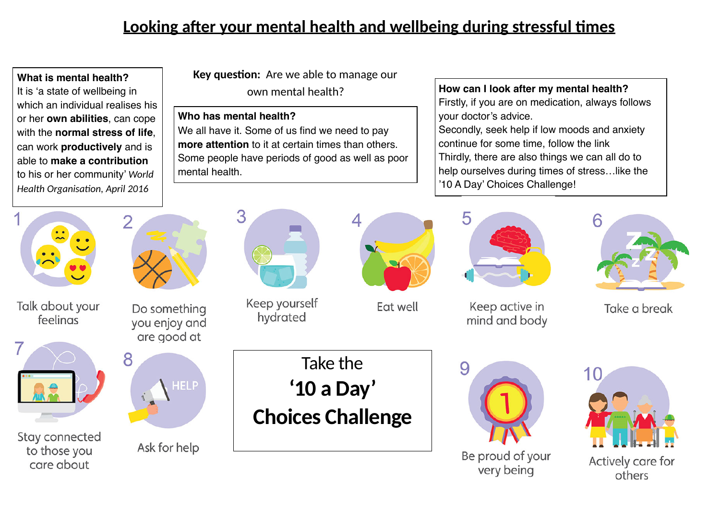## **Looking after your mental health and wellbeing during stressful times**

 **What is mental health?** It is 'a state of wellbeing in which an individual realises his or her **own abilities**, can cope with the **normal stress of life**, can work **productively** and is able to **make a contribution**  to his or her community' *World*  **Health Organisation, April 2016** 

**Key question:** Are we able to manage our own mental health?

## **Who has mental health?**

We all have it. Some of us find we need to pay **more attention** to it at certain times than others. Some people have periods of good as well as poor mental health.

**How can I look after my mental health?** Firstly, if you are on medication, always follows your doctor's advice. Secondly, seek help if low moods and anxiety continue for some time, follow the link Thirdly, there are also things we can all do to help ourselves during times of stress…like the '10 A Day' Choices Challenge!



Talk about your feelings



Stay connected to those you care about







## Ask for help



Keep yourself hydrated

Take the

**'10 a Day'** 

**Choices Challenge**



Fat well



Keep active in mind and body





Take a break